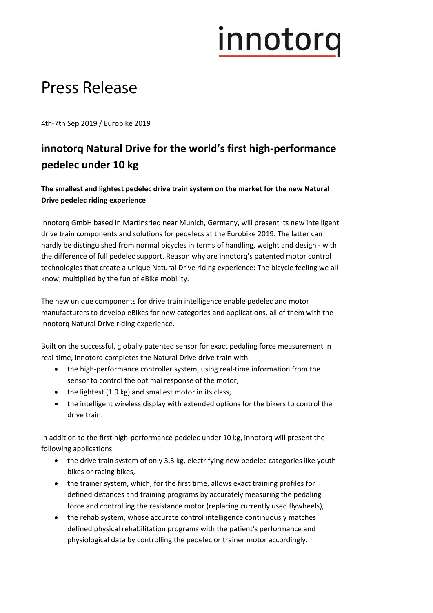# innotorg

#### Press Release

4th‐7th Sep 2019 / Eurobike 2019

#### **innotorq Natural Drive for the world's first high‐performance pedelec under 10 kg**

**The smallest and lightest pedelec drive train system on the market for the new Natural Drive pedelec riding experience**

innotorq GmbH based in Martinsried near Munich, Germany, will present its new intelligent drive train components and solutions for pedelecs at the Eurobike 2019. The latter can hardly be distinguished from normal bicycles in terms of handling, weight and design ‐ with the difference of full pedelec support. Reason why are innotorq's patented motor control technologies that create a unique Natural Drive riding experience: The bicycle feeling we all know, multiplied by the fun of eBike mobility.

The new unique components for drive train intelligence enable pedelec and motor manufacturers to develop eBikes for new categories and applications, all of them with the innotorq Natural Drive riding experience.

Built on the successful, globally patented sensor for exact pedaling force measurement in real-time, innotorq completes the Natural Drive drive train with

- the high-performance controller system, using real-time information from the sensor to control the optimal response of the motor,
- $\bullet$  the lightest (1.9 kg) and smallest motor in its class,
- the intelligent wireless display with extended options for the bikers to control the drive train.

In addition to the first high‐performance pedelec under 10 kg, innotorq will present the following applications

- the drive train system of only 3.3 kg, electrifying new pedelec categories like youth bikes or racing bikes,
- the trainer system, which, for the first time, allows exact training profiles for defined distances and training programs by accurately measuring the pedaling force and controlling the resistance motor (replacing currently used flywheels),
- the rehab system, whose accurate control intelligence continuously matches defined physical rehabilitation programs with the patient's performance and physiological data by controlling the pedelec or trainer motor accordingly.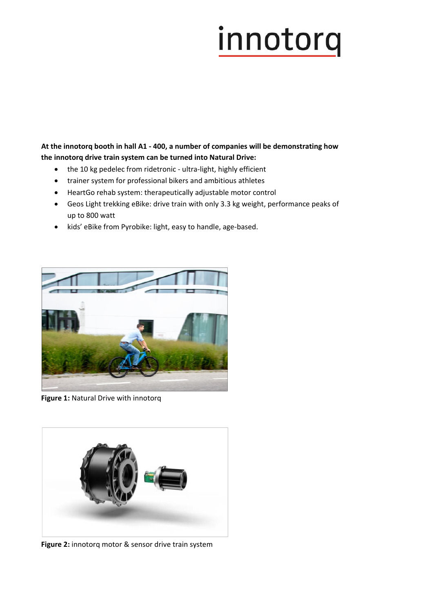### innotorq

**At the innotorq booth in hall A1 ‐ 400, a number of companies will be demonstrating how the innotorq drive train system can be turned into Natural Drive:** 

- the 10 kg pedelec from ridetronic ultra-light, highly efficient
- trainer system for professional bikers and ambitious athletes
- HeartGo rehab system: therapeutically adjustable motor control
- Geos Light trekking eBike: drive train with only 3.3 kg weight, performance peaks of up to 800 watt
- kids' eBike from Pyrobike: light, easy to handle, age-based.



**Figure 1:** Natural Drive with innotorq



**Figure 2:** innotorq motor & sensor drive train system